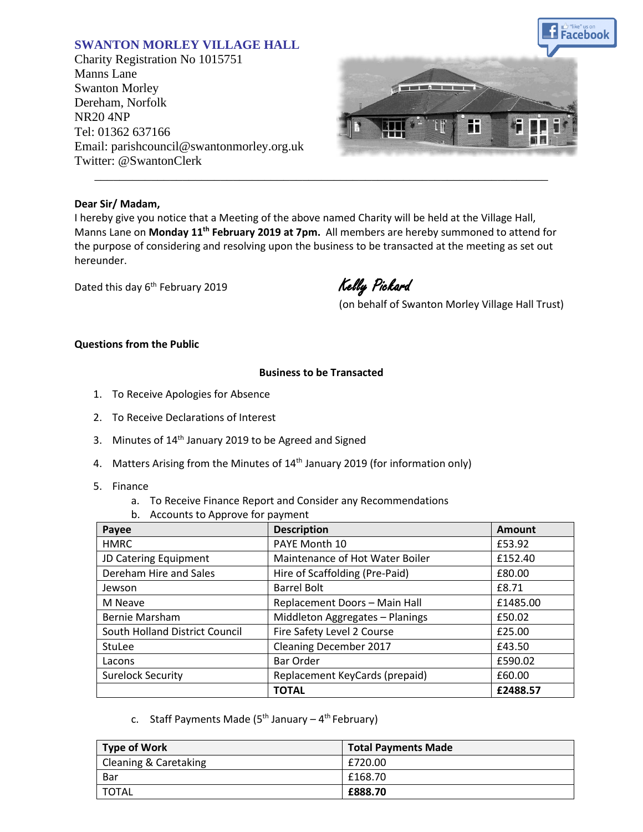# **SWANTON MORLEY VILLAGE HALL**

Charity Registration No 1015751 Manns Lane Swanton Morley Dereham, Norfolk NR20 4NP Tel: 01362 637166 Email: parishcouncil@swantonmorley.org.uk Twitter: @SwantonClerk



### **Dear Sir/ Madam,**

I hereby give you notice that a Meeting of the above named Charity will be held at the Village Hall, Manns Lane on **Monday 11 th February 2019 at 7pm.** All members are hereby summoned to attend for the purpose of considering and resolving upon the business to be transacted at the meeting as set out hereunder.

\_\_\_\_\_\_\_\_\_\_\_\_\_\_\_\_\_\_\_\_\_\_\_\_\_\_\_\_\_\_\_\_\_\_\_\_\_\_\_\_\_\_\_\_\_\_\_\_\_\_\_\_\_\_\_\_\_\_\_\_\_\_\_\_\_\_\_\_\_\_\_\_

Dated this day 6<sup>th</sup> February 2019

Kelly Pickard

(on behalf of Swanton Morley Village Hall Trust)

## **Questions from the Public**

### **Business to be Transacted**

- 1. To Receive Apologies for Absence
- 2. To Receive Declarations of Interest
- 3. Minutes of 14<sup>th</sup> January 2019 to be Agreed and Signed
- 4. Matters Arising from the Minutes of 14<sup>th</sup> January 2019 (for information only)
- 5. Finance
	- a. To Receive Finance Report and Consider any Recommendations
	- b. Accounts to Approve for payment

| Payee                          | <b>Description</b>              | <b>Amount</b> |
|--------------------------------|---------------------------------|---------------|
| <b>HMRC</b>                    | PAYE Month 10                   | £53.92        |
| JD Catering Equipment          | Maintenance of Hot Water Boiler | £152.40       |
| Dereham Hire and Sales         | Hire of Scaffolding (Pre-Paid)  | £80.00        |
| Jewson                         | <b>Barrel Bolt</b>              | £8.71         |
| M Neave                        | Replacement Doors - Main Hall   | £1485.00      |
| Bernie Marsham                 | Middleton Aggregates - Planings | £50.02        |
| South Holland District Council | Fire Safety Level 2 Course      | £25.00        |
| <b>StuLee</b>                  | <b>Cleaning December 2017</b>   | £43.50        |
| Lacons                         | Bar Order                       | £590.02       |
| <b>Surelock Security</b>       | Replacement KeyCards (prepaid)  | £60.00        |
|                                | <b>TOTAL</b>                    | £2488.57      |

c. Staff Payments Made (5<sup>th</sup> January – 4<sup>th</sup> February)

| <b>Type of Work</b>              | <b>Total Payments Made</b> |
|----------------------------------|----------------------------|
| <b>Cleaning &amp; Caretaking</b> | £720.00                    |
| Bar                              | £168.70                    |
| <b>TOTAL</b>                     | £888.70                    |